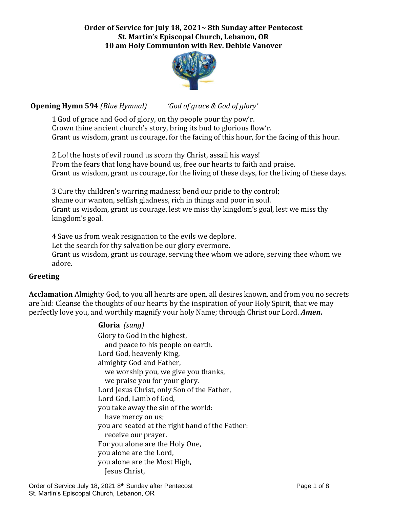### **Order of Service for July 18, 2021~ 8th Sunday after Pentecost St. Martin's Episcopal Church, Lebanon, OR 10 am Holy Communion with Rev. Debbie Vanover**



# **Opening Hymn 594** *(Blue Hymnal) 'God of grace & God of glory'*

1 God of grace and God of glory, on thy people pour thy pow'r. Crown thine ancient church's story, bring its bud to glorious flow'r. Grant us wisdom, grant us courage, for the facing of this hour, for the facing of this hour.

2 Lo! the hosts of evil round us scorn thy Christ, assail his ways! From the fears that long have bound us, free our hearts to faith and praise. Grant us wisdom, grant us courage, for the living of these days, for the living of these days.

3 Cure thy children's warring madness; bend our pride to thy control; shame our wanton, selfish gladness, rich in things and poor in soul. Grant us wisdom, grant us courage, lest we miss thy kingdom's goal, lest we miss thy kingdom's goal.

4 Save us from weak resignation to the evils we deplore. Let the search for thy salvation be our glory evermore. Grant us wisdom, grant us courage, serving thee whom we adore, serving thee whom we adore.

### **Greeting**

**Acclamation** Almighty God, to you all hearts are open, all desires known, and from you no secrets are hid: Cleanse the thoughts of our hearts by the inspiration of your Holy Spirit, that we may perfectly love you, and worthily magnify your holy Name; through Christ our Lord. *Amen***.**

# **Gloria** *(sung)*  Glory to God in the highest,

 and peace to his people on earth. Lord God, heavenly King, almighty God and Father, we worship you, we give you thanks, we praise you for your glory. Lord Jesus Christ, only Son of the Father, Lord God, Lamb of God, you take away the sin of the world: have mercy on us; you are seated at the right hand of the Father: receive our prayer. For you alone are the Holy One, you alone are the Lord, you alone are the Most High, Jesus Christ,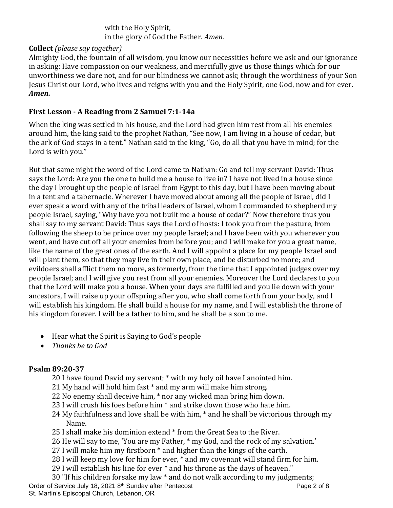### with the Holy Spirit, in the glory of God the Father. *Amen.*

### **Collect** *(please say together)*

Almighty God, the fountain of all wisdom, you know our necessities before we ask and our ignorance in asking: Have compassion on our weakness, and mercifully give us those things which for our unworthiness we dare not, and for our blindness we cannot ask; through the worthiness of your Son Jesus Christ our Lord, who lives and reigns with you and the Holy Spirit, one God, now and for ever. *Amen.*

### **First Lesson - A Reading from 2 Samuel 7:1-14a**

When the king was settled in his house, and the Lord had given him rest from all his enemies around him, the king said to the prophet Nathan, "See now, I am living in a house of cedar, but the ark of God stays in a tent." Nathan said to the king, "Go, do all that you have in mind; for the Lord is with you."

But that same night the word of the Lord came to Nathan: Go and tell my servant David: Thus says the Lord: Are you the one to build me a house to live in? I have not lived in a house since the day I brought up the people of Israel from Egypt to this day, but I have been moving about in a tent and a tabernacle. Wherever I have moved about among all the people of Israel, did I ever speak a word with any of the tribal leaders of Israel, whom I commanded to shepherd my people Israel, saying, "Why have you not built me a house of cedar?" Now therefore thus you shall say to my servant David: Thus says the Lord of hosts: I took you from the pasture, from following the sheep to be prince over my people Israel; and I have been with you wherever you went, and have cut off all your enemies from before you; and I will make for you a great name, like the name of the great ones of the earth. And I will appoint a place for my people Israel and will plant them, so that they may live in their own place, and be disturbed no more; and evildoers shall afflict them no more, as formerly, from the time that I appointed judges over my people Israel; and I will give you rest from all your enemies. Moreover the Lord declares to you that the Lord will make you a house. When your days are fulfilled and you lie down with your ancestors, I will raise up your offspring after you, who shall come forth from your body, and I will establish his kingdom. He shall build a house for my name, and I will establish the throne of his kingdom forever. I will be a father to him, and he shall be a son to me.

- Hear what the Spirit is Saying to God's people
- *Thanks be to God*

### **Psalm 89:20-37**

- 20 I have found David my servant; \* with my holy oil have I anointed him.
- 21 My hand will hold him fast \* and my arm will make him strong.
- 22 No enemy shall deceive him, \* nor any wicked man bring him down.
- 23 I will crush his foes before him  $*$  and strike down those who hate him.
- 24 My faithfulness and love shall be with him, \* and he shall be victorious through my Name.
- 25 I shall make his dominion extend \* from the Great Sea to the River.
- 26 He will say to me, 'You are my Father, \* my God, and the rock of my salvation.'
- 27 I will make him my firstborn \* and higher than the kings of the earth.
- 28 I will keep my love for him for ever, \* and my covenant will stand firm for him.
- 29 I will establish his line for ever \* and his throne as the days of heaven."
- Order of Service July 18, 2021 8<sup>th</sup> Sunday after Pentecost **Page 2** of 8 St. Martin's Episcopal Church, Lebanon, OR 30 "If his children forsake my law \* and do not walk according to my judgments;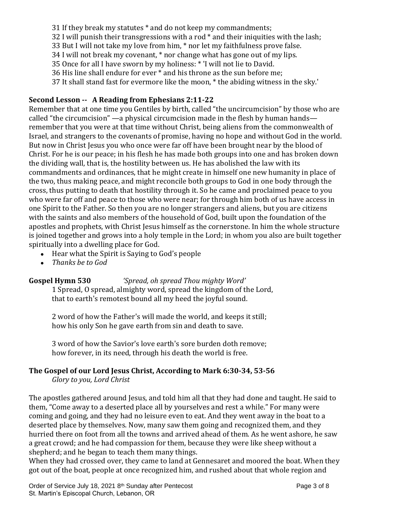- 31 If they break my statutes \* and do not keep my commandments;
- 32 I will punish their transgressions with a rod \* and their iniquities with the lash;
- 33 But I will not take my love from him, \* nor let my faithfulness prove false.
- 34 I will not break my covenant, \* nor change what has gone out of my lips.
- 35 Once for all I have sworn by my holiness: \* 'I will not lie to David.
- 36 His line shall endure for ever \* and his throne as the sun before me;
- 37 It shall stand fast for evermore like the moon, \* the abiding witness in the sky.'

# **Second Lesson -- A Reading from Ephesians 2:11-22**

Remember that at one time you Gentiles by birth, called "the uncircumcision" by those who are called "the circumcision" —a physical circumcision made in the flesh by human hands remember that you were at that time without Christ, being aliens from the commonwealth of Israel, and strangers to the covenants of promise, having no hope and without God in the world. But now in Christ Jesus you who once were far off have been brought near by the blood of Christ. For he is our peace; in his flesh he has made both groups into one and has broken down the dividing wall, that is, the hostility between us. He has abolished the law with its commandments and ordinances, that he might create in himself one new humanity in place of the two, thus making peace, and might reconcile both groups to God in one body through the cross, thus putting to death that hostility through it. So he came and proclaimed peace to you who were far off and peace to those who were near; for through him both of us have access in one Spirit to the Father. So then you are no longer strangers and aliens, but you are citizens with the saints and also members of the household of God, built upon the foundation of the apostles and prophets, with Christ Jesus himself as the cornerstone. In him the whole structure is joined together and grows into a holy temple in the Lord; in whom you also are built together spiritually into a dwelling place for God.

- Hear what the Spirit is Saying to God's people
- *Thanks be to God*

# **Gospel Hymn 530** *'Spread, oh spread Thou mighty Word'*

1 Spread, O spread, almighty word, spread the kingdom of the Lord, that to earth's remotest bound all my heed the joyful sound.

2 word of how the Father's will made the world, and keeps it still; how his only Son he gave earth from sin and death to save.

3 word of how the Savior's love earth's sore burden doth remove; how forever, in its need, through his death the world is free.

# **The Gospel of our Lord Jesus Christ, According to Mark 6:30-34, 53-56**

*Glory to you, Lord Christ*

The apostles gathered around Jesus, and told him all that they had done and taught. He said to them, "Come away to a deserted place all by yourselves and rest a while." For many were coming and going, and they had no leisure even to eat. And they went away in the boat to a deserted place by themselves. Now, many saw them going and recognized them, and they hurried there on foot from all the towns and arrived ahead of them. As he went ashore, he saw a great crowd; and he had compassion for them, because they were like sheep without a shepherd; and he began to teach them many things.

When they had crossed over, they came to land at Gennesaret and moored the boat. When they got out of the boat, people at once recognized him, and rushed about that whole region and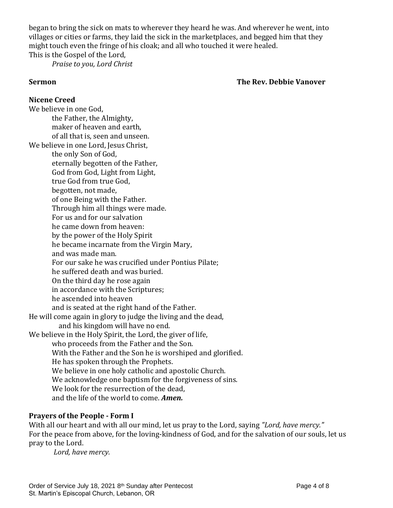began to bring the sick on mats to wherever they heard he was. And wherever he went, into villages or cities or farms, they laid the sick in the marketplaces, and begged him that they might touch even the fringe of his cloak; and all who touched it were healed. This is the Gospel of the Lord,

*Praise to you, Lord Christ*

### **Sermon The Rev. Debbie Vanover**

**Nicene Creed**  We believe in one God, the Father, the Almighty, maker of heaven and earth, of all that is, seen and unseen. We believe in one Lord, Jesus Christ, the only Son of God, eternally begotten of the Father, God from God, Light from Light, true God from true God, begotten, not made, of one Being with the Father. Through him all things were made. For us and for our salvation he came down from heaven: by the power of the Holy Spirit he became incarnate from the Virgin Mary, and was made man. For our sake he was crucified under Pontius Pilate; he suffered death and was buried. On the third day he rose again in accordance with the Scriptures; he ascended into heaven and is seated at the right hand of the Father. He will come again in glory to judge the living and the dead, and his kingdom will have no end. We believe in the Holy Spirit, the Lord, the giver of life, who proceeds from the Father and the Son. With the Father and the Son he is worshiped and glorified. He has spoken through the Prophets. We believe in one holy catholic and apostolic Church. We acknowledge one baptism for the forgiveness of sins. We look for the resurrection of the dead, and the life of the world to come. *Amen.*

### **Prayers of the People - Form I**

With all our heart and with all our mind, let us pray to the Lord, saying *"Lord, have mercy."* For the peace from above, for the loving-kindness of God, and for the salvation of our souls, let us pray to the Lord.

*Lord, have mercy.*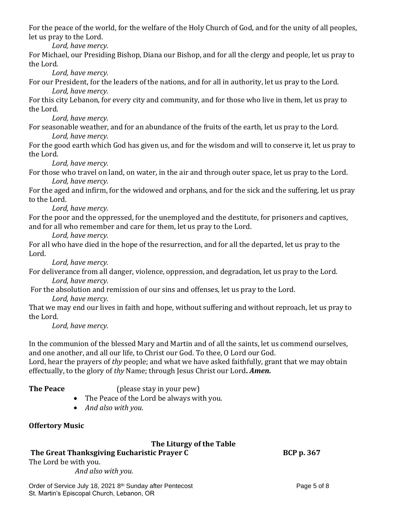For the peace of the world, for the welfare of the Holy Church of God, and for the unity of all peoples, let us pray to the Lord.

*Lord, have mercy.*

For Michael, our Presiding Bishop, Diana our Bishop, and for all the clergy and people, let us pray to the Lord.

*Lord, have mercy.*

For our President, for the leaders of the nations, and for all in authority, let us pray to the Lord. *Lord, have mercy.*

For this city Lebanon, for every city and community, and for those who live in them, let us pray to the Lord.

*Lord, have mercy.*

For seasonable weather, and for an abundance of the fruits of the earth, let us pray to the Lord. *Lord, have mercy.*

For the good earth which God has given us, and for the wisdom and will to conserve it, let us pray to the Lord.

*Lord, have mercy.*

For those who travel on land, on water, in the air and through outer space, let us pray to the Lord. *Lord, have mercy.*

For the aged and infirm, for the widowed and orphans, and for the sick and the suffering, let us pray to the Lord.

*Lord, have mercy.*

For the poor and the oppressed, for the unemployed and the destitute, for prisoners and captives, and for all who remember and care for them, let us pray to the Lord.

*Lord, have mercy.*

For all who have died in the hope of the resurrection, and for all the departed, let us pray to the Lord.

*Lord, have mercy.*

For deliverance from all danger, violence, oppression, and degradation, let us pray to the Lord. *Lord, have mercy.*

For the absolution and remission of our sins and offenses, let us pray to the Lord.

*Lord, have mercy.*

That we may end our lives in faith and hope, without suffering and without reproach, let us pray to the Lord.

*Lord, have mercy.*

In the communion of the blessed Mary and Martin and of all the saints, let us commend ourselves, and one another, and all our life, to Christ our God. To thee, O Lord our God.

Lord, hear the prayers of *thy* people; and what we have asked faithfully, grant that we may obtain effectually, to the glory of *thy* Name; through Jesus Christ our Lord**.** *Amen.*

**The Peace** (please stay in your pew)

- The Peace of the Lord be always with you.
- *And also with you.*

# **Offertory Music**

# **The Liturgy of the Table**

The Great Thanksgiving Eucharistic Prayer C BCP p. 367 The Lord be with you. *And also with you.*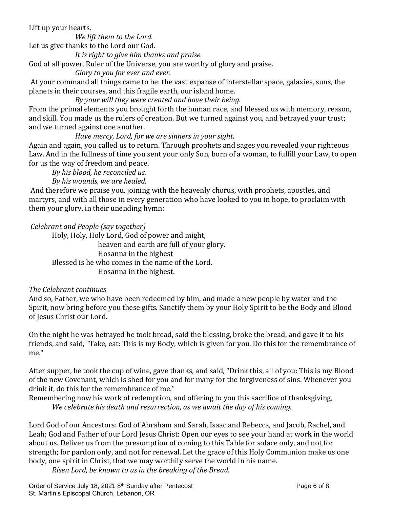Lift up your hearts.

*We lift them to the Lord.*

Let us give thanks to the Lord our God.

*It is right to give him thanks and praise.*

God of all power, Ruler of the Universe, you are worthy of glory and praise.

*Glory to you for ever and ever.*

At your command all things came to be: the vast expanse of interstellar space, galaxies, suns, the planets in their courses, and this fragile earth, our island home.

*By your will they were created and have their being.*

From the primal elements you brought forth the human race, and blessed us with memory, reason, and skill. You made us the rulers of creation. But we turned against you, and betrayed your trust; and we turned against one another.

# *Have mercy, Lord, for we are sinners in your sight.*

Again and again, you called us to return. Through prophets and sages you revealed your righteous Law. And in the fullness of time you sent your only Son, born of a woman, to fulfill your Law, to open for us the way of freedom and peace.

*By his blood, he reconciled us.*

*By his wounds, we are healed.*

And therefore we praise you, joining with the heavenly chorus, with prophets, apostles, and martyrs, and with all those in every generation who have looked to you in hope, to proclaim with them your glory, in their unending hymn:

# *Celebrant and People (say together)*

Holy, Holy, Holy Lord, God of power and might, heaven and earth are full of your glory. Hosanna in the highest Blessed is he who comes in the name of the Lord. Hosanna in the highest.

### *The Celebrant continues*

And so, Father, we who have been redeemed by him, and made a new people by water and the Spirit, now bring before you these gifts. Sanctify them by your Holy Spirit to be the Body and Blood of Jesus Christ our Lord.

On the night he was betrayed he took bread, said the blessing, broke the bread, and gave it to his friends, and said, "Take, eat: This is my Body, which is given for you. Do this for the remembrance of me."

After supper, he took the cup of wine, gave thanks, and said, "Drink this, all of you: This is my Blood of the new Covenant, which is shed for you and for many for the forgiveness of sins. Whenever you drink it, do this for the remembrance of me."

Remembering now his work of redemption, and offering to you this sacrifice of thanksgiving, *We celebrate his death and resurrection, as we await the day of his coming.*

Lord God of our Ancestors: God of Abraham and Sarah, Isaac and Rebecca, and Jacob, Rachel, and Leah; God and Father of our Lord Jesus Christ: Open our eyes to see your hand at work in the world about us. Deliver us from the presumption of coming to this Table for solace only, and not for strength; for pardon only, and not for renewal. Let the grace of this Holy Communion make us one body, one spirit in Christ, that we may worthily serve the world in his name.

*Risen Lord, be known to us in the breaking of the Bread.*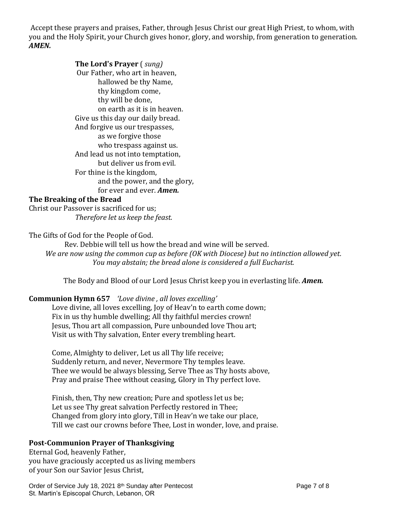Accept these prayers and praises, Father, through Jesus Christ our great High Priest, to whom, with you and the Holy Spirit, your Church gives honor, glory, and worship, from generation to generation. *AMEN.*

### **The Lord's Prayer** ( *sung)* Our Father, who art in heaven, hallowed be thy Name, thy kingdom come, thy will be done, on earth as it is in heaven. Give us this day our daily bread. And forgive us our trespasses, as we forgive those who trespass against us. And lead us not into temptation, but deliver us from evil. For thine is the kingdom, and the power, and the glory, for ever and ever. *Amen.*

### **The Breaking of the Bread**

Christ our Passover is sacrificed for us; *Therefore let us keep the feast.*

The Gifts of God for the People of God.

 Rev. Debbie will tell us how the bread and wine will be served. *We are now using the common cup as before (OK with Diocese) but no intinction allowed yet. You may abstain; the bread alone is considered a full Eucharist.*

The Body and Blood of our Lord Jesus Christ keep you in everlasting life. *Amen.*

### **Communion Hymn 657** *'Love divine , all loves excelling'*

Love divine, all loves excelling, Joy of Heav'n to earth come down; Fix in us thy humble dwelling; All thy faithful mercies crown! Jesus, Thou art all compassion, Pure unbounded love Thou art; Visit us with Thy salvation, Enter every trembling heart.

Come, Almighty to deliver, Let us all Thy life receive; Suddenly return, and never, Nevermore Thy temples leave. Thee we would be always blessing, Serve Thee as Thy hosts above, Pray and praise Thee without ceasing, Glory in Thy perfect love.

Finish, then, Thy new creation; Pure and spotless let us be; Let us see Thy great salvation Perfectly restored in Thee; Changed from glory into glory, Till in Heav'n we take our place, Till we cast our crowns before Thee, Lost in wonder, love, and praise.

### **Post-Communion Prayer of Thanksgiving**

Eternal God, heavenly Father, you have graciously accepted us as living members of your Son our Savior Jesus Christ,